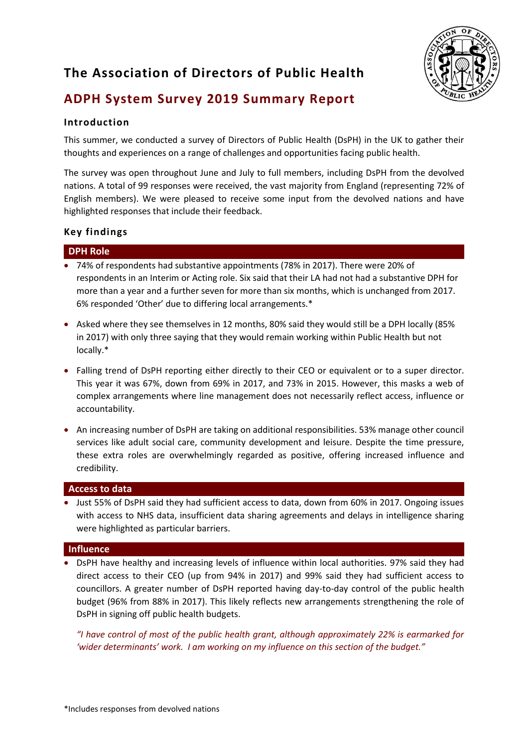# **The Association of Directors of Public Health**



# **ADPH System Survey 2019 Summary Report**

# **Introduction**

This summer, we conducted a survey of Directors of Public Health (DsPH) in the UK to gather their thoughts and experiences on a range of challenges and opportunities facing public health.

The survey was open throughout June and July to full members, including DsPH from the devolved nations. A total of 99 responses were received, the vast majority from England (representing 72% of English members). We were pleased to receive some input from the devolved nations and have highlighted responses that include their feedback.

# **Key findings**

## **DPH Role**

- 74% of respondents had substantive appointments (78% in 2017). There were 20% of respondents in an Interim or Acting role. Six said that their LA had not had a substantive DPH for more than a year and a further seven for more than six months, which is unchanged from 2017. 6% responded 'Other' due to differing local arrangements.\*
- Asked where they see themselves in 12 months, 80% said they would still be a DPH locally (85% in 2017) with only three saying that they would remain working within Public Health but not locally.\*
- Falling trend of DsPH reporting either directly to their CEO or equivalent or to a super director. This year it was 67%, down from 69% in 2017, and 73% in 2015. However, this masks a web of complex arrangements where line management does not necessarily reflect access, influence or accountability.
- An increasing number of DsPH are taking on additional responsibilities. 53% manage other council services like adult social care, community development and leisure. Despite the time pressure, these extra roles are overwhelmingly regarded as positive, offering increased influence and credibility.

## **Access to data**

• Just 55% of DsPH said they had sufficient access to data, down from 60% in 2017. Ongoing issues with access to NHS data, insufficient data sharing agreements and delays in intelligence sharing were highlighted as particular barriers.

## **Influence**

• DsPH have healthy and increasing levels of influence within local authorities. 97% said they had direct access to their CEO (up from 94% in 2017) and 99% said they had sufficient access to councillors. A greater number of DsPH reported having day-to-day control of the public health budget (96% from 88% in 2017). This likely reflects new arrangements strengthening the role of DsPH in signing off public health budgets.

*"I have control of most of the public health grant, although approximately 22% is earmarked for 'wider determinants' work. I am working on my influence on this section of the budget."*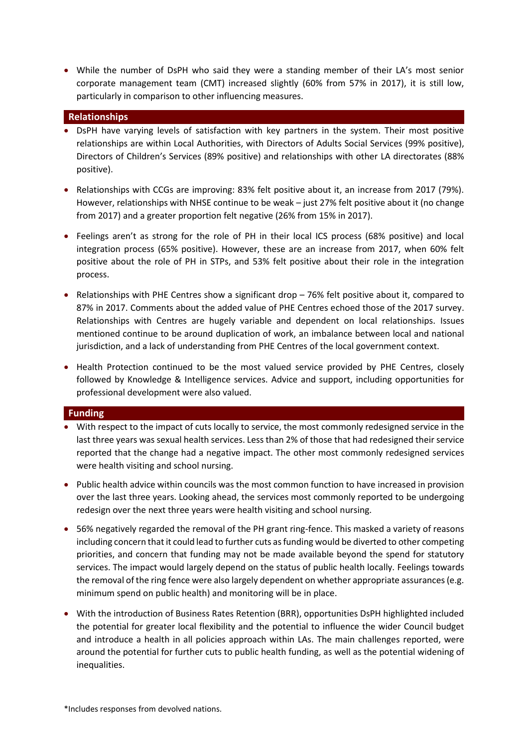• While the number of DsPH who said they were a standing member of their LA's most senior corporate management team (CMT) increased slightly (60% from 57% in 2017), it is still low, particularly in comparison to other influencing measures.

#### **Relationships**

- DsPH have varying levels of satisfaction with key partners in the system. Their most positive relationships are within Local Authorities, with Directors of Adults Social Services (99% positive), Directors of Children's Services (89% positive) and relationships with other LA directorates (88% positive).
- Relationships with CCGs are improving: 83% felt positive about it, an increase from 2017 (79%). However, relationships with NHSE continue to be weak – just 27% felt positive about it (no change from 2017) and a greater proportion felt negative (26% from 15% in 2017).
- Feelings aren't as strong for the role of PH in their local ICS process (68% positive) and local integration process (65% positive). However, these are an increase from 2017, when 60% felt positive about the role of PH in STPs, and 53% felt positive about their role in the integration process.
- Relationships with PHE Centres show a significant drop 76% felt positive about it, compared to 87% in 2017. Comments about the added value of PHE Centres echoed those of the 2017 survey. Relationships with Centres are hugely variable and dependent on local relationships. Issues mentioned continue to be around duplication of work, an imbalance between local and national jurisdiction, and a lack of understanding from PHE Centres of the local government context.
- Health Protection continued to be the most valued service provided by PHE Centres, closely followed by Knowledge & Intelligence services. Advice and support, including opportunities for professional development were also valued.

#### **Funding**

- With respect to the impact of cuts locally to service, the most commonly redesigned service in the last three years was sexual health services. Less than 2% of those that had redesigned their service reported that the change had a negative impact. The other most commonly redesigned services were health visiting and school nursing.
- Public health advice within councils was the most common function to have increased in provision over the last three years. Looking ahead, the services most commonly reported to be undergoing redesign over the next three years were health visiting and school nursing.
- 56% negatively regarded the removal of the PH grant ring-fence. This masked a variety of reasons including concern that it could lead to further cuts as funding would be diverted to other competing priorities, and concern that funding may not be made available beyond the spend for statutory services. The impact would largely depend on the status of public health locally. Feelings towards the removal of the ring fence were also largely dependent on whether appropriate assurances (e.g. minimum spend on public health) and monitoring will be in place.
- With the introduction of Business Rates Retention (BRR), opportunities DsPH highlighted included the potential for greater local flexibility and the potential to influence the wider Council budget and introduce a health in all policies approach within LAs. The main challenges reported, were around the potential for further cuts to public health funding, as well as the potential widening of inequalities.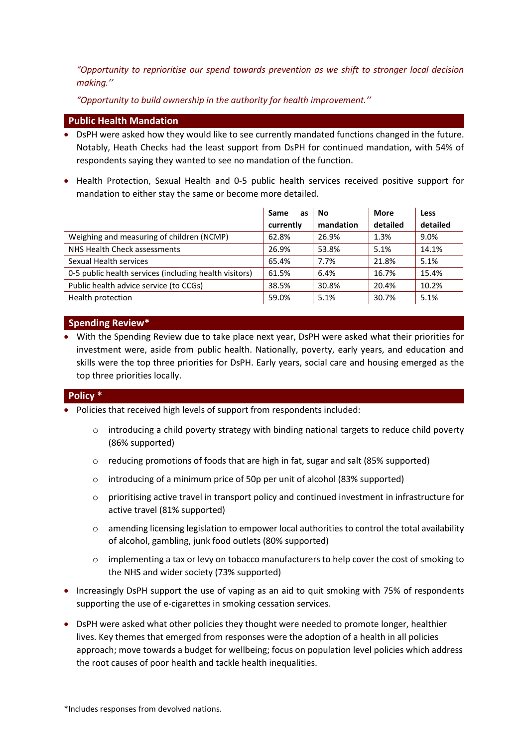*"Opportunity to reprioritise our spend towards prevention as we shift to stronger local decision making.''*

*"Opportunity to build ownership in the authority for health improvement.''*

#### **Public Health Mandation**

- DsPH were asked how they would like to see currently mandated functions changed in the future. Notably, Heath Checks had the least support from DsPH for continued mandation, with 54% of respondents saying they wanted to see no mandation of the function.
- Health Protection, Sexual Health and 0-5 public health services received positive support for mandation to either stay the same or become more detailed.

|                                                        | Same<br>as | No        | More     | Less     |
|--------------------------------------------------------|------------|-----------|----------|----------|
|                                                        | currently  | mandation | detailed | detailed |
| Weighing and measuring of children (NCMP)              | 62.8%      | 26.9%     | 1.3%     | 9.0%     |
| NHS Health Check assessments                           | 26.9%      | 53.8%     | 5.1%     | 14.1%    |
| Sexual Health services                                 | 65.4%      | 7.7%      | 21.8%    | 5.1%     |
| 0-5 public health services (including health visitors) | 61.5%      | 6.4%      | 16.7%    | 15.4%    |
| Public health advice service (to CCGs)                 | 38.5%      | 30.8%     | 20.4%    | 10.2%    |
| Health protection                                      | 59.0%      | 5.1%      | 30.7%    | 5.1%     |

### **Spending Review\***

• With the Spending Review due to take place next year, DsPH were asked what their priorities for investment were, aside from public health. Nationally, poverty, early years, and education and skills were the top three priorities for DsPH. Early years, social care and housing emerged as the top three priorities locally.

## **Policy \***

- Policies that received high levels of support from respondents included:
	- $\circ$  introducing a child poverty strategy with binding national targets to reduce child poverty (86% supported)
	- $\circ$  reducing promotions of foods that are high in fat, sugar and salt (85% supported)
	- o introducing of a minimum price of 50p per unit of alcohol (83% supported)
	- $\circ$  prioritising active travel in transport policy and continued investment in infrastructure for active travel (81% supported)
	- o amending licensing legislation to empower local authorities to control the total availability of alcohol, gambling, junk food outlets (80% supported)
	- o implementing a tax or levy on tobacco manufacturers to help cover the cost of smoking to the NHS and wider society (73% supported)
- Increasingly DsPH support the use of vaping as an aid to quit smoking with 75% of respondents supporting the use of e-cigarettes in smoking cessation services.
- DsPH were asked what other policies they thought were needed to promote longer, healthier lives. Key themes that emerged from responses were the adoption of a health in all policies approach; move towards a budget for wellbeing; focus on population level policies which address the root causes of poor health and tackle health inequalities.